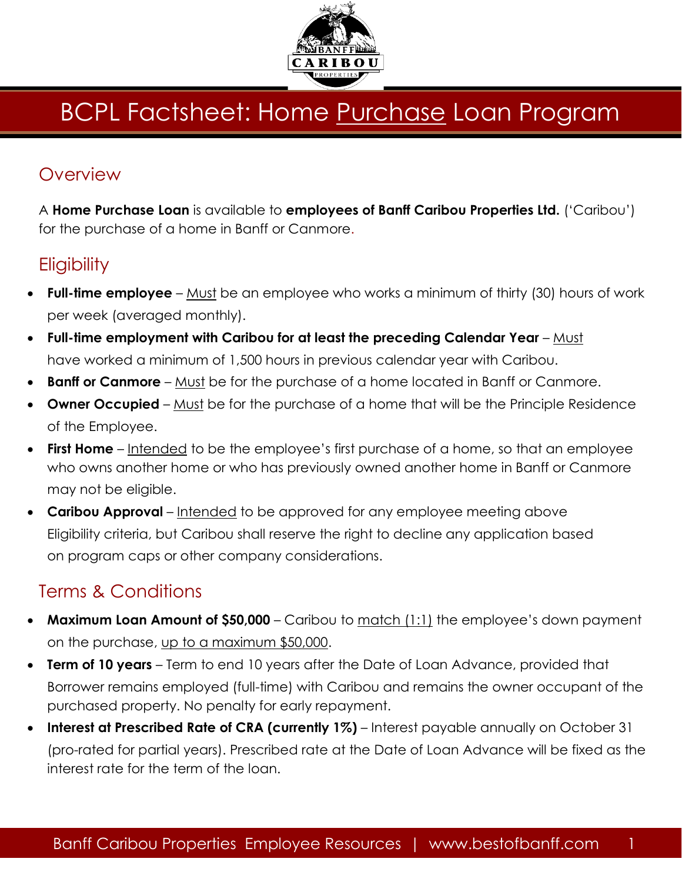

# **BCPL Factsheet: Home Purchase Loan Program**

### **Overview**

A **Home Purchase Loan** is available to **employees of Banff Caribou Properties Ltd.** ('Caribou') for the purchase of a home in Banff or Canmore.

## **Eligibility**

- **Full-time employee** Must be an employee who works a minimum of thirty (30) hours of work per week (averaged monthly).
- **Full-time employment with Caribou for at least the preceding Calendar Year** Must have worked a minimum of 1,500 hours in previous calendar year with Caribou.
- **Banff or Canmore** Must be for the purchase of a home located in Banff or Canmore.
- **Owner Occupied** Must be for the purchase of a home that will be the Principle Residence of the Employee.
- **First Home** Intended to be the employee's first purchase of a home, so that an employee who owns another home or who has previously owned another home in Banff or Canmore may not be eligible.
- **Caribou Approval**  Intended to be approved for any employee meeting above Eligibility criteria, but Caribou shall reserve the right to decline any application based on program caps or other company considerations.

# Terms & Conditions

- **Maximum Loan Amount of \$50,000** Caribou to match (1:1) the employee's down payment on the purchase, up to a maximum \$50,000.
- **Term of 10 years** Term to end 10 years after the Date of Loan Advance, provided that Borrower remains employed (full-time) with Caribou and remains the owner occupant of the purchased property. No penalty for early repayment.
- **Interest at Prescribed Rate of CRA (currently 1%)** Interest payable annually on October 31 (pro-rated for partial years). Prescribed rate at the Date of Loan Advance will be fixed as the interest rate for the term of the loan.